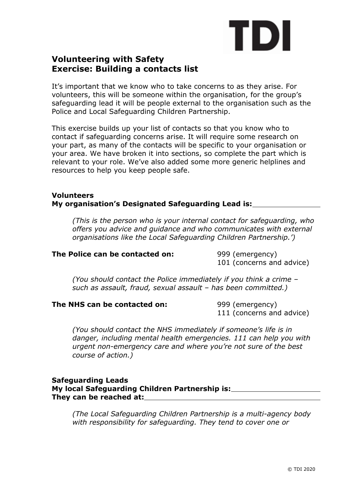# TDI

# **Volunteering with Safety Exercise: Building a contacts list**

It's important that we know who to take concerns to as they arise. For volunteers, this will be someone within the organisation, for the group's safeguarding lead it will be people external to the organisation such as the Police and Local Safeguarding Children Partnership.

This exercise builds up your list of contacts so that you know who to contact if safeguarding concerns arise. It will require some research on your part, as many of the contacts will be specific to your organisation or your area. We have broken it into sections, so complete the part which is relevant to your role. We've also added some more generic helplines and resources to help you keep people safe.

## **Volunteers My organisation's Designated Safeguarding Lead is:**

*(This is the person who is your internal contact for safeguarding, who offers you advice and guidance and who communicates with external organisations like the Local Safeguarding Children Partnership.')*

# **The Police can be contacted on:** 999 (emergency)

101 (concerns and advice)

*(You should contact the Police immediately if you think a crime – such as assault, fraud, sexual assault – has been committed.)*

#### **The NHS can be contacted on:** 999 (emergency)

111 (concerns and advice)

*(You should contact the NHS immediately if someone's life is in danger, including mental health emergencies. 111 can help you with urgent non-emergency care and where you're not sure of the best course of action.)*

#### **Safeguarding Leads My local Safeguarding Children Partnership is: They can be reached at:**

*(The Local Safeguarding Children Partnership is a multi-agency body with responsibility for safeguarding. They tend to cover one or*